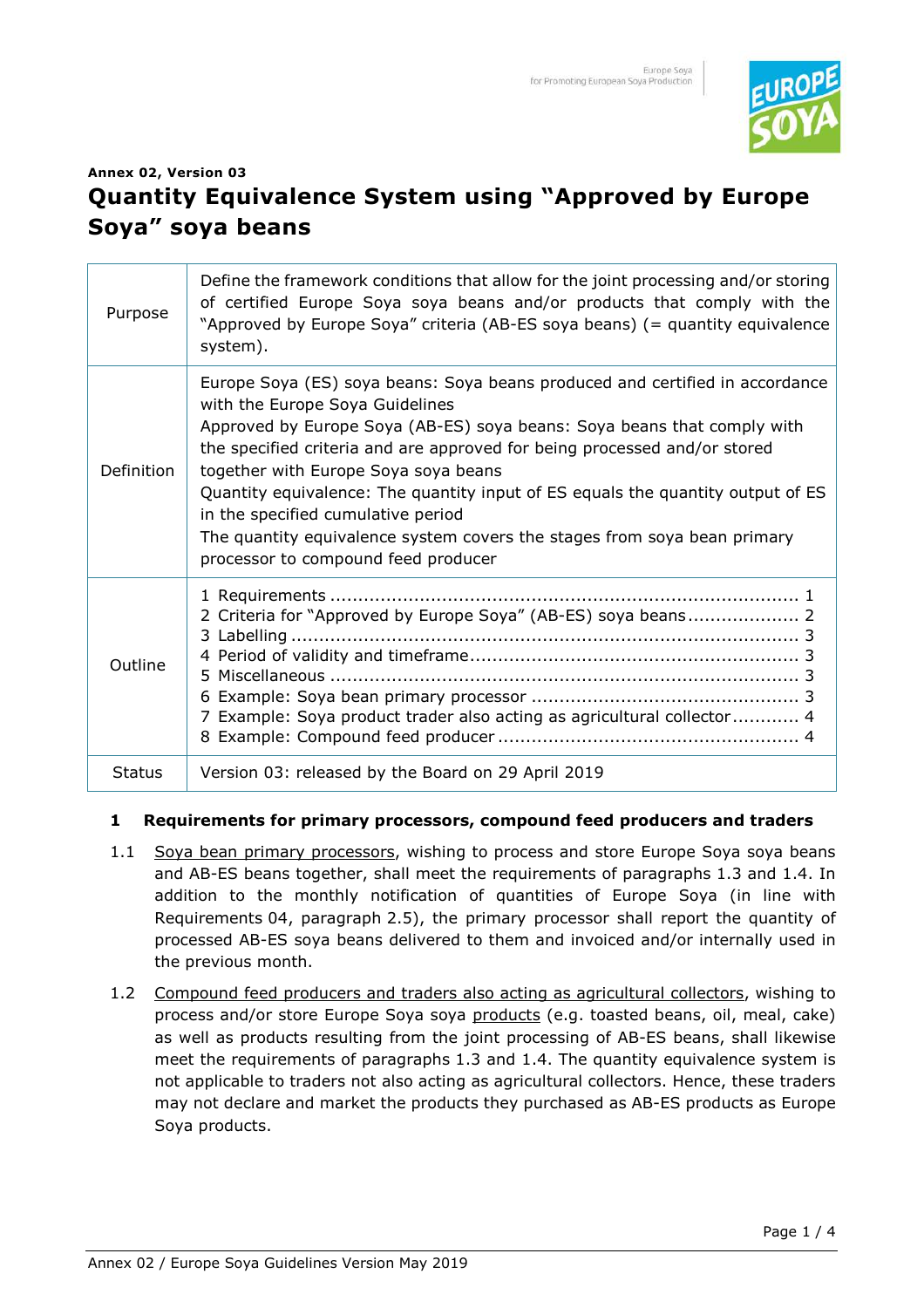

# **Annex 02, Version 03 Quantity Equivalence System using "Approved by Europe Soya" soya beans**

| Purpose       | Define the framework conditions that allow for the joint processing and/or storing<br>of certified Europe Soya soya beans and/or products that comply with the<br>"Approved by Europe Soya" criteria (AB-ES soya beans) (= quantity equivalence<br>system).                                                                                                                                                                                                                                                                                                 |
|---------------|-------------------------------------------------------------------------------------------------------------------------------------------------------------------------------------------------------------------------------------------------------------------------------------------------------------------------------------------------------------------------------------------------------------------------------------------------------------------------------------------------------------------------------------------------------------|
| Definition    | Europe Soya (ES) soya beans: Soya beans produced and certified in accordance<br>with the Europe Soya Guidelines<br>Approved by Europe Soya (AB-ES) soya beans: Soya beans that comply with<br>the specified criteria and are approved for being processed and/or stored<br>together with Europe Soya soya beans<br>Quantity equivalence: The quantity input of ES equals the quantity output of ES<br>in the specified cumulative period<br>The quantity equivalence system covers the stages from soya bean primary<br>processor to compound feed producer |
| Outline       | 2 Criteria for "Approved by Europe Soya" (AB-ES) soya beans 2<br>7 Example: Soya product trader also acting as agricultural collector 4                                                                                                                                                                                                                                                                                                                                                                                                                     |
| <b>Status</b> | Version 03: released by the Board on 29 April 2019                                                                                                                                                                                                                                                                                                                                                                                                                                                                                                          |

#### **1 Requirements for primary processors, compound feed producers and traders**

- 1.1 Soya bean primary processors, wishing to process and store Europe Soya soya beans and AB-ES beans together, shall meet the requirements of paragraphs 1.3 and 1.4. In addition to the monthly notification of quantities of Europe Soya (in line with Requirements 04, paragraph 2.5), the primary processor shall report the quantity of processed AB-ES soya beans delivered to them and invoiced and/or internally used in the previous month.
- 1.2 Compound feed producers and traders also acting as agricultural collectors, wishing to process and/or store Europe Soya soya products (e.g. toasted beans, oil, meal, cake) as well as products resulting from the joint processing of AB-ES beans, shall likewise meet the requirements of paragraphs 1.3 and 1.4. The quantity equivalence system is not applicable to traders not also acting as agricultural collectors. Hence, these traders may not declare and market the products they purchased as AB-ES products as Europe Soya products.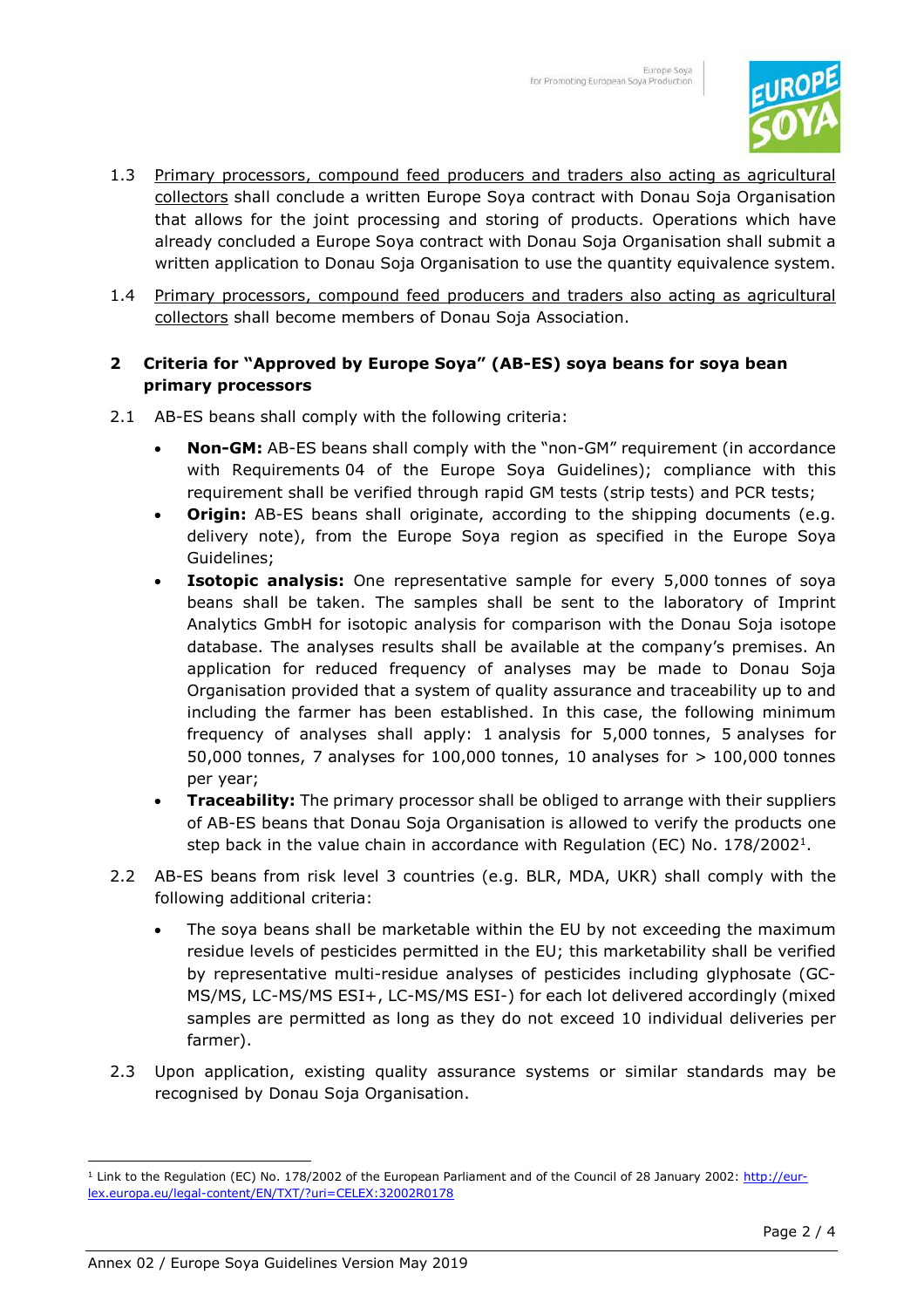

- 1.3 Primary processors, compound feed producers and traders also acting as agricultural collectors shall conclude a written Europe Soya contract with Donau Soja Organisation that allows for the joint processing and storing of products. Operations which have already concluded a Europe Soya contract with Donau Soja Organisation shall submit a written application to Donau Soja Organisation to use the quantity equivalence system.
- 1.4 Primary processors, compound feed producers and traders also acting as agricultural collectors shall become members of Donau Soja Association.

## **2 Criteria for "Approved by Europe Soya" (AB-ES) soya beans for soya bean primary processors**

- 2.1 AB-ES beans shall comply with the following criteria:
	- **Non-GM:** AB-ES beans shall comply with the "non-GM" requirement (in accordance with Requirements 04 of the Europe Soya Guidelines); compliance with this requirement shall be verified through rapid GM tests (strip tests) and PCR tests;
	- **Origin:** AB-ES beans shall originate, according to the shipping documents (e.g. delivery note), from the Europe Soya region as specified in the Europe Soya Guidelines;
	- **Isotopic analysis:** One representative sample for every 5,000 tonnes of soya beans shall be taken. The samples shall be sent to the laboratory of Imprint Analytics GmbH for isotopic analysis for comparison with the Donau Soja isotope database. The analyses results shall be available at the company's premises. An application for reduced frequency of analyses may be made to Donau Soja Organisation provided that a system of quality assurance and traceability up to and including the farmer has been established. In this case, the following minimum frequency of analyses shall apply: 1 analysis for 5,000 tonnes, 5 analyses for 50,000 tonnes, 7 analyses for 100,000 tonnes, 10 analyses for > 100,000 tonnes per year;
	- **Traceability:** The primary processor shall be obliged to arrange with their suppliers of AB-ES beans that Donau Soja Organisation is allowed to verify the products one step back in the value chain in accordance with Regulation (EC) No. 178/2002<sup>1</sup>.
- 2.2 AB-ES beans from risk level 3 countries (e.g. BLR, MDA, UKR) shall comply with the following additional criteria:
	- The soya beans shall be marketable within the EU by not exceeding the maximum residue levels of pesticides permitted in the EU; this marketability shall be verified by representative multi-residue analyses of pesticides including glyphosate (GC-MS/MS, LC-MS/MS ESI+, LC-MS/MS ESI-) for each lot delivered accordingly (mixed samples are permitted as long as they do not exceed 10 individual deliveries per farmer).
- 2.3 Upon application, existing quality assurance systems or similar standards may be recognised by Donau Soja Organisation.

l

<sup>&</sup>lt;sup>1</sup> Link to the Regulation (EC) No. 178/2002 of the European Parliament and of the Council of 28 January 2002: http://eurlex.europa.eu/legal-content/EN/TXT/?uri=CELEX:32002R0178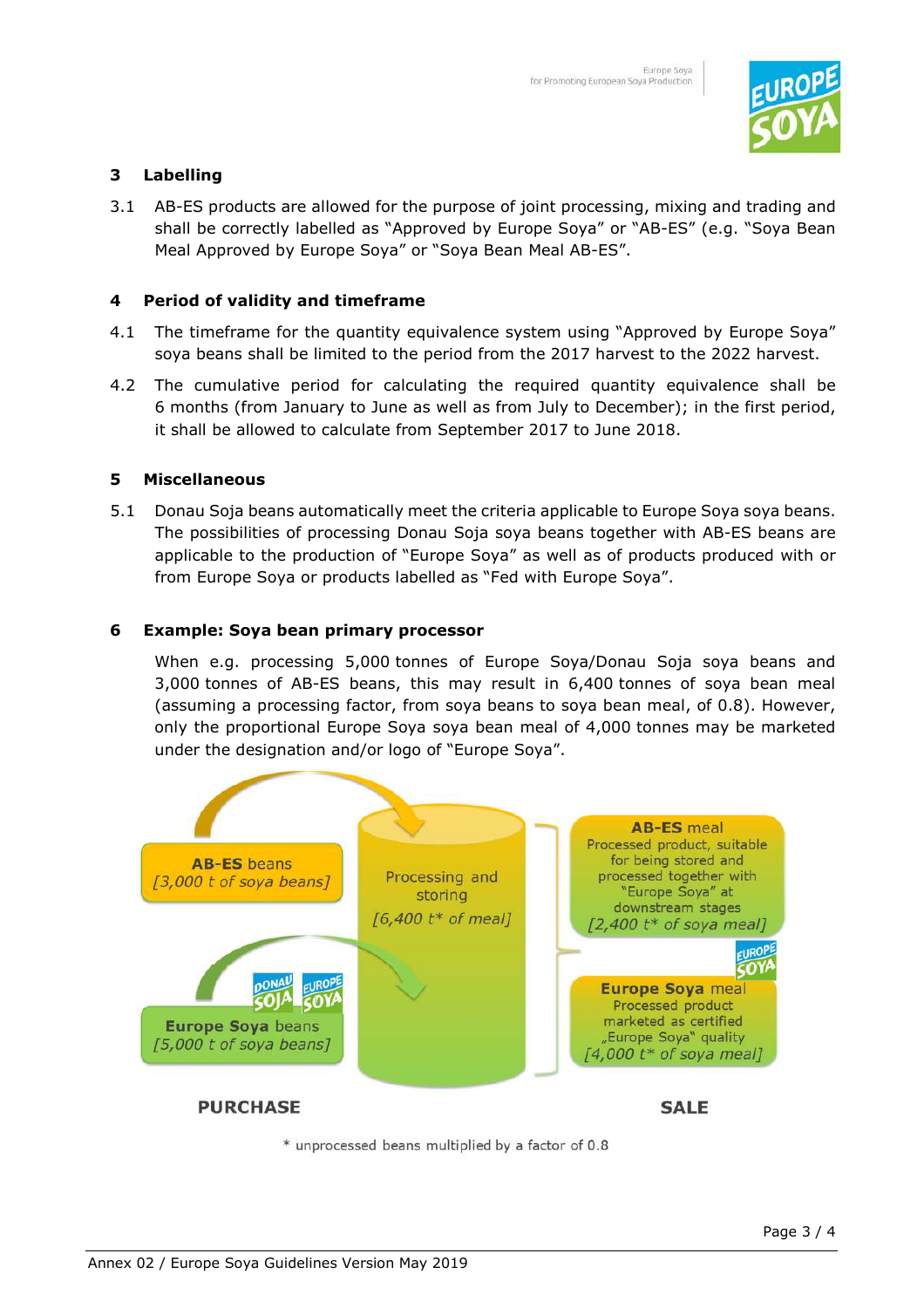

## **3 Labelling**

3.1 AB-ES products are allowed for the purpose of joint processing, mixing and trading and shall be correctly labelled as "Approved by Europe Soya" or "AB-ES" (e.g. "Soya Bean Meal Approved by Europe Soya" or "Soya Bean Meal AB-ES".

#### **4 Period of validity and timeframe**

- 4.1 The timeframe for the quantity equivalence system using "Approved by Europe Soya" soya beans shall be limited to the period from the 2017 harvest to the 2022 harvest.
- 4.2 The cumulative period for calculating the required quantity equivalence shall be 6 months (from January to June as well as from July to December); in the first period, it shall be allowed to calculate from September 2017 to June 2018.

#### **5 Miscellaneous**

5.1 Donau Soja beans automatically meet the criteria applicable to Europe Soya soya beans. The possibilities of processing Donau Soja soya beans together with AB-ES beans are applicable to the production of "Europe Soya" as well as of products produced with or from Europe Soya or products labelled as "Fed with Europe Soya".

#### **6 Example: Soya bean primary processor**

When e.g. processing 5,000 tonnes of Europe Soya/Donau Soja soya beans and 3,000 tonnes of AB-ES beans, this may result in 6,400 tonnes of soya bean meal (assuming a processing factor, from soya beans to soya bean meal, of 0.8). However, only the proportional Europe Soya soya bean meal of 4,000 tonnes may be marketed under the designation and/or logo of "Europe Soya".



\* unprocessed beans multiplied by a factor of 0.8